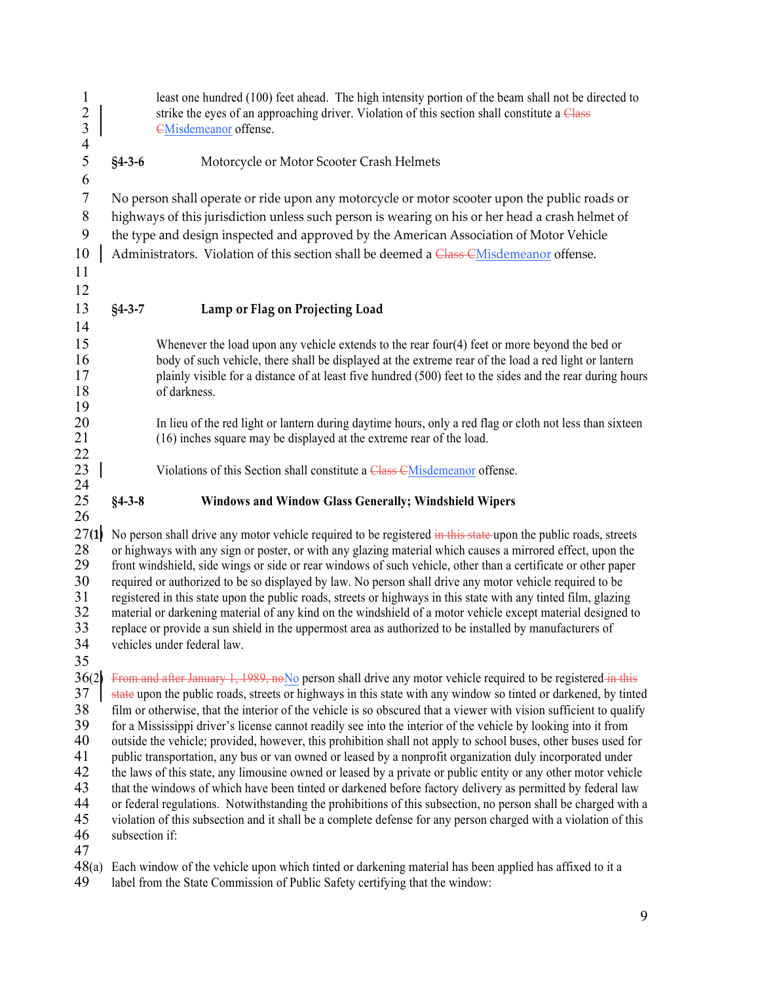| $\mathbf{1}$<br>$\frac{2}{3}$<br>$\overline{4}$ |                | least one hundred (100) feet ahead. The high intensity portion of the beam shall not be directed to<br>strike the eyes of an approaching driver. Violation of this section shall constitute a Class<br><b>EMisdemeanor</b> offense. |
|-------------------------------------------------|----------------|-------------------------------------------------------------------------------------------------------------------------------------------------------------------------------------------------------------------------------------|
| 5<br>6                                          | $§4 - 3 - 6$   | Motorcycle or Motor Scooter Crash Helmets                                                                                                                                                                                           |
| $\tau$                                          |                | No person shall operate or ride upon any motorcycle or motor scooter upon the public roads or                                                                                                                                       |
| $8\phantom{1}$                                  |                | highways of this jurisdiction unless such person is wearing on his or her head a crash helmet of                                                                                                                                    |
| $\mathbf{9}$                                    |                | the type and design inspected and approved by the American Association of Motor Vehicle                                                                                                                                             |
| 10                                              |                | Administrators. Violation of this section shall be deemed a Class CMisdemeanor offense.                                                                                                                                             |
| 11                                              |                |                                                                                                                                                                                                                                     |
| 12                                              |                |                                                                                                                                                                                                                                     |
| 13                                              | $§4 - 3 - 7$   | Lamp or Flag on Projecting Load                                                                                                                                                                                                     |
| 14                                              |                |                                                                                                                                                                                                                                     |
| 15                                              |                | Whenever the load upon any vehicle extends to the rear four(4) feet or more beyond the bed or                                                                                                                                       |
| 16                                              |                | body of such vehicle, there shall be displayed at the extreme rear of the load a red light or lantern                                                                                                                               |
| 17                                              |                | plainly visible for a distance of at least five hundred (500) feet to the sides and the rear during hours                                                                                                                           |
| 18<br>19                                        |                | of darkness.                                                                                                                                                                                                                        |
| 20                                              |                | In lieu of the red light or lantern during daytime hours, only a red flag or cloth not less than sixteen                                                                                                                            |
| 21                                              |                | (16) inches square may be displayed at the extreme rear of the load.                                                                                                                                                                |
| 22                                              |                |                                                                                                                                                                                                                                     |
| 23                                              |                | Violations of this Section shall constitute a Class CMisdemeanor offense.                                                                                                                                                           |
| 24                                              |                |                                                                                                                                                                                                                                     |
| 25<br>26                                        | $§4 - 3 - 8$   | <b>Windows and Window Glass Generally; Windshield Wipers</b>                                                                                                                                                                        |
| 27(1)                                           |                | No person shall drive any motor vehicle required to be registered in this state-upon the public roads, streets                                                                                                                      |
| 28                                              |                | or highways with any sign or poster, or with any glazing material which causes a mirrored effect, upon the                                                                                                                          |
| 29                                              |                | front windshield, side wings or side or rear windows of such vehicle, other than a certificate or other paper                                                                                                                       |
| 30                                              |                | required or authorized to be so displayed by law. No person shall drive any motor vehicle required to be                                                                                                                            |
| 31                                              |                | registered in this state upon the public roads, streets or highways in this state with any tinted film, glazing                                                                                                                     |
| 32<br>33                                        |                | material or darkening material of any kind on the windshield of a motor vehicle except material designed to<br>replace or provide a sun shield in the uppermost area as authorized to be installed by manufacturers of              |
| 34                                              |                | vehicles under federal law.                                                                                                                                                                                                         |
| 35                                              |                |                                                                                                                                                                                                                                     |
| 36(2)                                           |                | From and after January 1, 1989, no No person shall drive any motor vehicle required to be registered in this                                                                                                                        |
| 37                                              |                | state upon the public roads, streets or highways in this state with any window so tinted or darkened, by tinted                                                                                                                     |
| 38                                              |                | film or otherwise, that the interior of the vehicle is so obscured that a viewer with vision sufficient to qualify                                                                                                                  |
| 39                                              |                | for a Mississippi driver's license cannot readily see into the interior of the vehicle by looking into it from                                                                                                                      |
| 40<br>41                                        |                | outside the vehicle; provided, however, this prohibition shall not apply to school buses, other buses used for<br>public transportation, any bus or van owned or leased by a nonprofit organization duly incorporated under         |
| 42                                              |                | the laws of this state, any limousine owned or leased by a private or public entity or any other motor vehicle                                                                                                                      |
| 43                                              |                | that the windows of which have been tinted or darkened before factory delivery as permitted by federal law                                                                                                                          |
| 44                                              |                | or federal regulations. Notwithstanding the prohibitions of this subsection, no person shall be charged with a                                                                                                                      |
| 45                                              |                | violation of this subsection and it shall be a complete defense for any person charged with a violation of this                                                                                                                     |
| 46                                              | subsection if: |                                                                                                                                                                                                                                     |
| 47<br>48(a)                                     |                |                                                                                                                                                                                                                                     |
|                                                 |                | Each window of the vehicle upon which tinted or darkening material has been applied has affixed to it a                                                                                                                             |

49 label from the State Commission of Public Safety certifying that the window: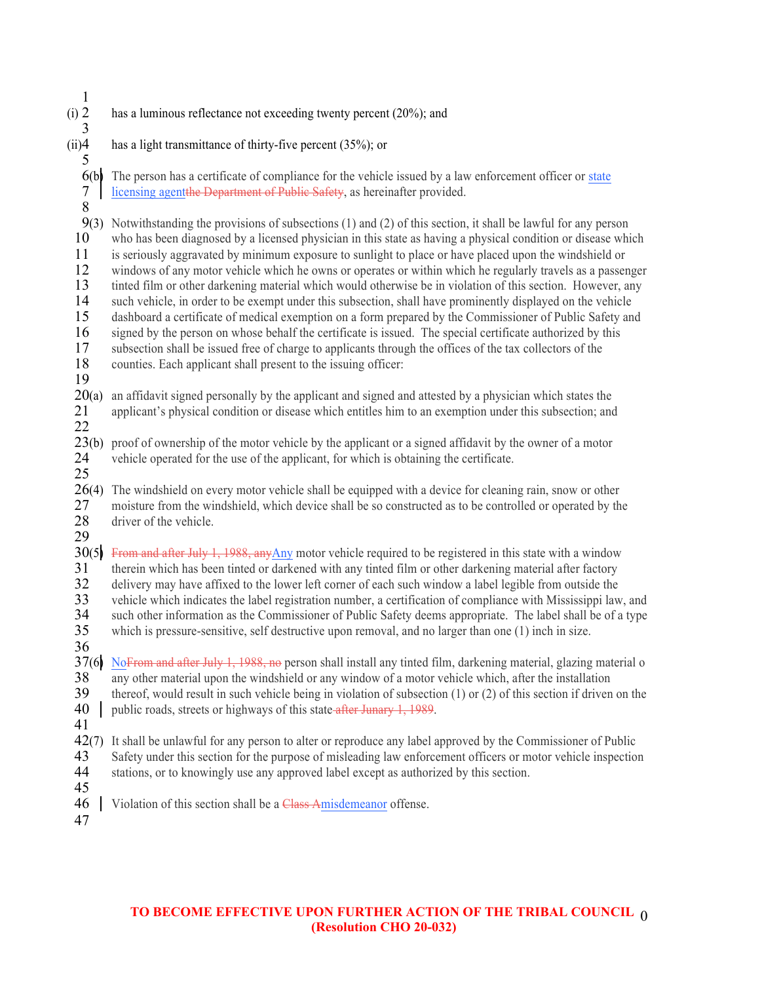| $\mathbf{1}$                          |                                                                                                                                                                                                                              |
|---------------------------------------|------------------------------------------------------------------------------------------------------------------------------------------------------------------------------------------------------------------------------|
| $(i)$ 2<br>3                          | has a luminous reflectance not exceeding twenty percent (20%); and                                                                                                                                                           |
| (ii)4                                 | has a light transmittance of thirty-five percent (35%); or                                                                                                                                                                   |
| 5                                     |                                                                                                                                                                                                                              |
| 6(b)                                  | The person has a certificate of compliance for the vehicle issued by a law enforcement officer or state                                                                                                                      |
| $\begin{array}{c} 7 \\ 8 \end{array}$ | licensing agentthe Department of Public Safety, as hereinafter provided.                                                                                                                                                     |
|                                       |                                                                                                                                                                                                                              |
| 9(3)<br>10                            | Notwithstanding the provisions of subsections (1) and (2) of this section, it shall be lawful for any person<br>who has been diagnosed by a licensed physician in this state as having a physical condition or disease which |
| 11                                    | is seriously aggravated by minimum exposure to sunlight to place or have placed upon the windshield or                                                                                                                       |
| 12                                    | windows of any motor vehicle which he owns or operates or within which he regularly travels as a passenger                                                                                                                   |
| 13                                    | tinted film or other darkening material which would otherwise be in violation of this section. However, any                                                                                                                  |
| 14                                    | such vehicle, in order to be exempt under this subsection, shall have prominently displayed on the vehicle                                                                                                                   |
| 15                                    | dashboard a certificate of medical exemption on a form prepared by the Commissioner of Public Safety and                                                                                                                     |
| 16                                    | signed by the person on whose behalf the certificate is issued. The special certificate authorized by this                                                                                                                   |
| 17                                    | subsection shall be issued free of charge to applicants through the offices of the tax collectors of the                                                                                                                     |
| 18                                    | counties. Each applicant shall present to the issuing officer:                                                                                                                                                               |
| 19                                    |                                                                                                                                                                                                                              |
| 20(a)                                 | an affidavit signed personally by the applicant and signed and attested by a physician which states the<br>applicant's physical condition or disease which entitles him to an exemption under this subsection; and           |
| 21<br>22                              |                                                                                                                                                                                                                              |
| 23(b)                                 | proof of ownership of the motor vehicle by the applicant or a signed affidavit by the owner of a motor                                                                                                                       |
| 24                                    | vehicle operated for the use of the applicant, for which is obtaining the certificate.                                                                                                                                       |
| 25                                    |                                                                                                                                                                                                                              |
| 26(4)                                 | The windshield on every motor vehicle shall be equipped with a device for cleaning rain, snow or other                                                                                                                       |
| 27                                    | moisture from the windshield, which device shall be so constructed as to be controlled or operated by the                                                                                                                    |
| 28                                    | driver of the vehicle.                                                                                                                                                                                                       |
| 29                                    |                                                                                                                                                                                                                              |
| 30(5)                                 | From and after July 1, 1988, any Any motor vehicle required to be registered in this state with a window                                                                                                                     |
| 31<br>32                              | therein which has been tinted or darkened with any tinted film or other darkening material after factory<br>delivery may have affixed to the lower left corner of each such window a label legible from outside the          |
| 33                                    | vehicle which indicates the label registration number, a certification of compliance with Mississippi law, and                                                                                                               |
| 34                                    | such other information as the Commissioner of Public Safety deems appropriate. The label shall be of a type                                                                                                                  |
| 35                                    | which is pressure-sensitive, self destructive upon removal, and no larger than one $(1)$ inch in size.                                                                                                                       |
| 36                                    |                                                                                                                                                                                                                              |
| 37(6)                                 | NoFrom and after July 1, 1988, no person shall install any tinted film, darkening material, glazing material o                                                                                                               |
| 38                                    | any other material upon the windshield or any window of a motor vehicle which, after the installation                                                                                                                        |
| 39                                    | thereof, would result in such vehicle being in violation of subsection $(1)$ or $(2)$ of this section if driven on the                                                                                                       |
| 40                                    | public roads, streets or highways of this state after Junary 1, 1989.                                                                                                                                                        |
| 41                                    |                                                                                                                                                                                                                              |
| 42(7)                                 | It shall be unlawful for any person to alter or reproduce any label approved by the Commissioner of Public                                                                                                                   |
| 43<br>44                              | Safety under this section for the purpose of misleading law enforcement officers or motor vehicle inspection<br>stations, or to knowingly use any approved label except as authorized by this section.                       |
| 45                                    |                                                                                                                                                                                                                              |
| 46                                    | Violation of this section shall be a Class Amisdemeanor offense.                                                                                                                                                             |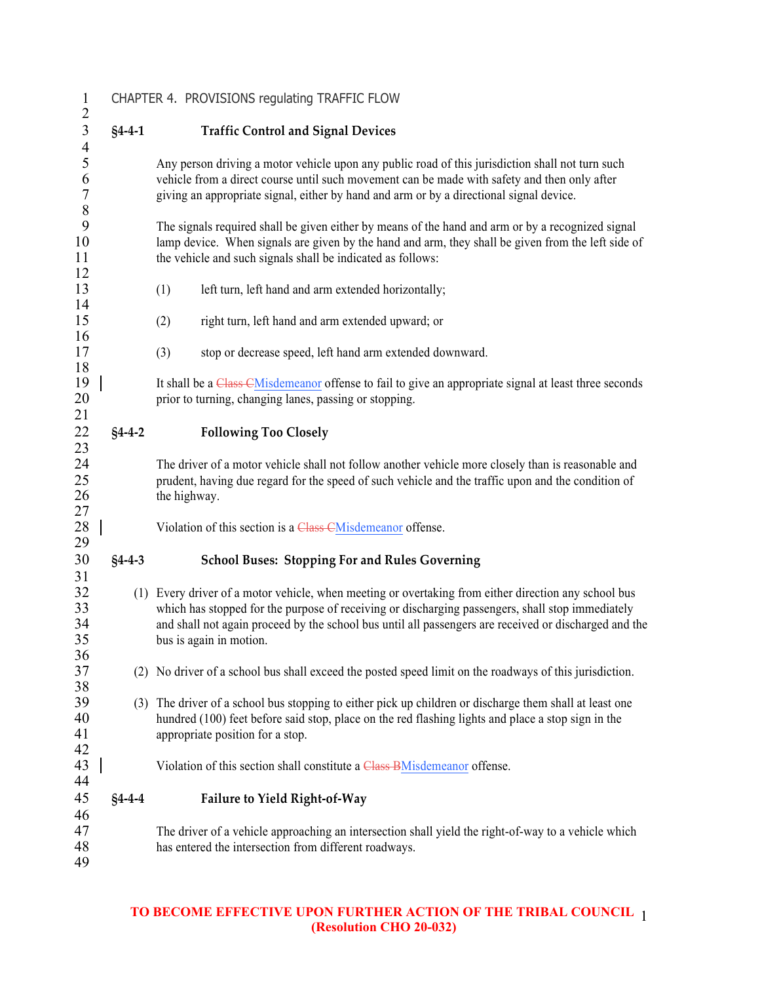| $\mathbf{1}$                                                |              | CHAPTER 4. PROVISIONS regulating TRAFFIC FLOW                                                                                                                                                                                                                                                                                                |
|-------------------------------------------------------------|--------------|----------------------------------------------------------------------------------------------------------------------------------------------------------------------------------------------------------------------------------------------------------------------------------------------------------------------------------------------|
| $\overline{c}$                                              |              |                                                                                                                                                                                                                                                                                                                                              |
| $\overline{3}$                                              | $§4 - 4 - 1$ | <b>Traffic Control and Signal Devices</b>                                                                                                                                                                                                                                                                                                    |
| $\overline{\mathcal{A}}$<br>5<br>6<br>$\sqrt{ }$<br>$\,8\,$ |              | Any person driving a motor vehicle upon any public road of this jurisdiction shall not turn such<br>vehicle from a direct course until such movement can be made with safety and then only after<br>giving an appropriate signal, either by hand and arm or by a directional signal device.                                                  |
| 9<br>10<br>11                                               |              | The signals required shall be given either by means of the hand and arm or by a recognized signal<br>lamp device. When signals are given by the hand and arm, they shall be given from the left side of<br>the vehicle and such signals shall be indicated as follows:                                                                       |
| 12<br>13<br>14                                              |              | left turn, left hand and arm extended horizontally;<br>(1)                                                                                                                                                                                                                                                                                   |
| 15<br>16                                                    |              | right turn, left hand and arm extended upward; or<br>(2)                                                                                                                                                                                                                                                                                     |
| 17<br>18                                                    |              | stop or decrease speed, left hand arm extended downward.<br>(3)                                                                                                                                                                                                                                                                              |
| 19<br>20<br>21                                              |              | It shall be a Class CM is demeanor offense to fail to give an appropriate signal at least three seconds<br>prior to turning, changing lanes, passing or stopping.                                                                                                                                                                            |
| 22<br>23                                                    | $§4 - 4 - 2$ | <b>Following Too Closely</b>                                                                                                                                                                                                                                                                                                                 |
| 24<br>25<br>26<br>27                                        |              | The driver of a motor vehicle shall not follow another vehicle more closely than is reasonable and<br>prudent, having due regard for the speed of such vehicle and the traffic upon and the condition of<br>the highway.                                                                                                                     |
| 28<br>29                                                    |              | Violation of this section is a Class CMisdemeanor offense.                                                                                                                                                                                                                                                                                   |
| 30<br>31                                                    | $§4 - 4 - 3$ | <b>School Buses: Stopping For and Rules Governing</b>                                                                                                                                                                                                                                                                                        |
| 32<br>33<br>34<br>35<br>36                                  |              | (1) Every driver of a motor vehicle, when meeting or overtaking from either direction any school bus<br>which has stopped for the purpose of receiving or discharging passengers, shall stop immediately<br>and shall not again proceed by the school bus until all passengers are received or discharged and the<br>bus is again in motion. |
| 37<br>38                                                    |              | (2) No driver of a school bus shall exceed the posted speed limit on the roadways of this jurisdiction.                                                                                                                                                                                                                                      |
| 39<br>40<br>41<br>42                                        |              | (3) The driver of a school bus stopping to either pick up children or discharge them shall at least one<br>hundred (100) feet before said stop, place on the red flashing lights and place a stop sign in the<br>appropriate position for a stop.                                                                                            |
| 43<br>44                                                    |              | Violation of this section shall constitute a Class BM is demean or offense.                                                                                                                                                                                                                                                                  |
| 45                                                          | $§4 - 4 - 4$ | Failure to Yield Right-of-Way                                                                                                                                                                                                                                                                                                                |
| 46<br>47<br>48<br>49                                        |              | The driver of a vehicle approaching an intersection shall yield the right-of-way to a vehicle which<br>has entered the intersection from different roadways.                                                                                                                                                                                 |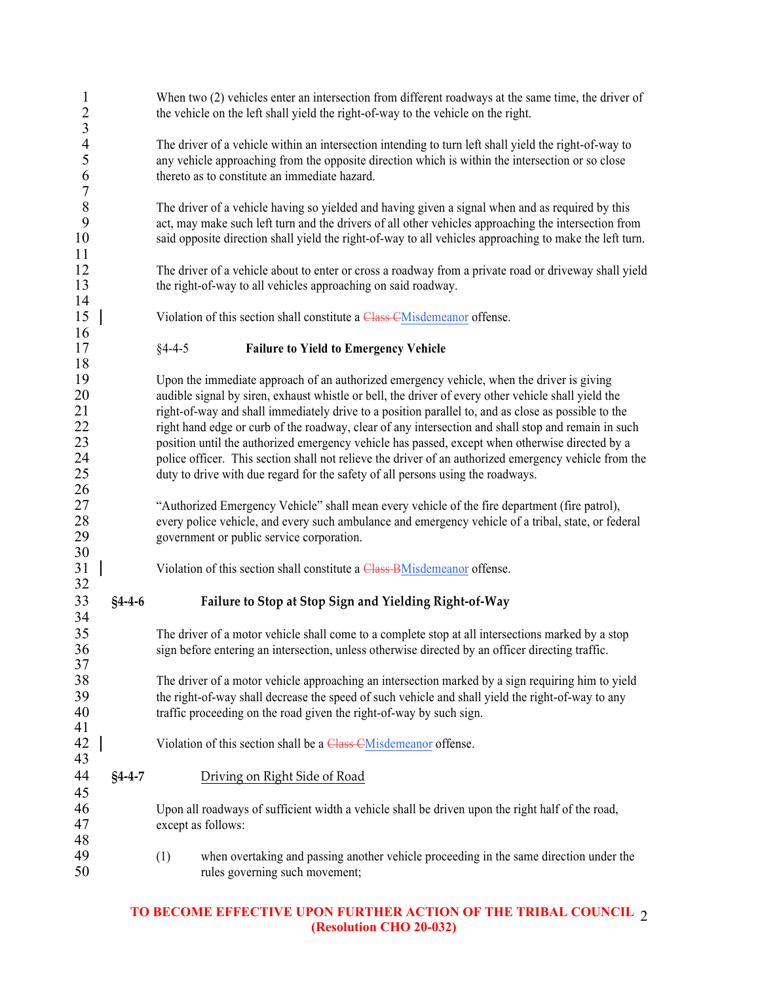| $\mathbf{1}$<br>$\frac{2}{3}$                    |              |              | When two (2) vehicles enter an intersection from different roadways at the same time, the driver of<br>the vehicle on the left shall yield the right-of-way to the vehicle on the right.                                                                                                                                                                                                                                                                                                                                                                                                                                                                                                                      |
|--------------------------------------------------|--------------|--------------|---------------------------------------------------------------------------------------------------------------------------------------------------------------------------------------------------------------------------------------------------------------------------------------------------------------------------------------------------------------------------------------------------------------------------------------------------------------------------------------------------------------------------------------------------------------------------------------------------------------------------------------------------------------------------------------------------------------|
| $\overline{\mathcal{A}}$<br>5<br>6<br>$\sqrt{ }$ |              |              | The driver of a vehicle within an intersection intending to turn left shall yield the right-of-way to<br>any vehicle approaching from the opposite direction which is within the intersection or so close<br>thereto as to constitute an immediate hazard.                                                                                                                                                                                                                                                                                                                                                                                                                                                    |
| $\,8\,$<br>9<br>10<br>11                         |              |              | The driver of a vehicle having so yielded and having given a signal when and as required by this<br>act, may make such left turn and the drivers of all other vehicles approaching the intersection from<br>said opposite direction shall yield the right-of-way to all vehicles approaching to make the left turn.                                                                                                                                                                                                                                                                                                                                                                                           |
| 12<br>13<br>14                                   |              |              | The driver of a vehicle about to enter or cross a roadway from a private road or driveway shall yield<br>the right-of-way to all vehicles approaching on said roadway.                                                                                                                                                                                                                                                                                                                                                                                                                                                                                                                                        |
| 15<br>16                                         |              |              | Violation of this section shall constitute a Class CMisdemeanor offense.                                                                                                                                                                                                                                                                                                                                                                                                                                                                                                                                                                                                                                      |
| 17<br>18                                         |              | $§4 - 4 - 5$ | <b>Failure to Yield to Emergency Vehicle</b>                                                                                                                                                                                                                                                                                                                                                                                                                                                                                                                                                                                                                                                                  |
| 19<br>20<br>21<br>22<br>23<br>24<br>25<br>26     |              |              | Upon the immediate approach of an authorized emergency vehicle, when the driver is giving<br>audible signal by siren, exhaust whistle or bell, the driver of every other vehicle shall yield the<br>right-of-way and shall immediately drive to a position parallel to, and as close as possible to the<br>right hand edge or curb of the roadway, clear of any intersection and shall stop and remain in such<br>position until the authorized emergency vehicle has passed, except when otherwise directed by a<br>police officer. This section shall not relieve the driver of an authorized emergency vehicle from the<br>duty to drive with due regard for the safety of all persons using the roadways. |
| 27<br>28<br>29                                   |              |              | "Authorized Emergency Vehicle" shall mean every vehicle of the fire department (fire patrol),<br>every police vehicle, and every such ambulance and emergency vehicle of a tribal, state, or federal<br>government or public service corporation.                                                                                                                                                                                                                                                                                                                                                                                                                                                             |
| 30<br>31<br>32                                   |              |              | Violation of this section shall constitute a Class BMisdemeanor offense.                                                                                                                                                                                                                                                                                                                                                                                                                                                                                                                                                                                                                                      |
| 33<br>34                                         | $§4 - 4 - 6$ |              | Failure to Stop at Stop Sign and Yielding Right-of-Way                                                                                                                                                                                                                                                                                                                                                                                                                                                                                                                                                                                                                                                        |
| 35<br>36<br>37                                   |              |              | The driver of a motor vehicle shall come to a complete stop at all intersections marked by a stop<br>sign before entering an intersection, unless otherwise directed by an officer directing traffic.                                                                                                                                                                                                                                                                                                                                                                                                                                                                                                         |
| 38<br>39<br>40<br>41                             |              |              | The driver of a motor vehicle approaching an intersection marked by a sign requiring him to yield<br>the right-of-way shall decrease the speed of such vehicle and shall yield the right-of-way to any<br>traffic proceeding on the road given the right-of-way by such sign.                                                                                                                                                                                                                                                                                                                                                                                                                                 |
| 42<br>43                                         |              |              | Violation of this section shall be a Class CMisdemeanor offense.                                                                                                                                                                                                                                                                                                                                                                                                                                                                                                                                                                                                                                              |
| 44<br>45                                         | $§4 - 4 - 7$ |              | Driving on Right Side of Road                                                                                                                                                                                                                                                                                                                                                                                                                                                                                                                                                                                                                                                                                 |
| 46<br>47<br>48                                   |              |              | Upon all roadways of sufficient width a vehicle shall be driven upon the right half of the road,<br>except as follows:                                                                                                                                                                                                                                                                                                                                                                                                                                                                                                                                                                                        |
| 49<br>50                                         |              | (1)          | when overtaking and passing another vehicle proceeding in the same direction under the<br>rules governing such movement;                                                                                                                                                                                                                                                                                                                                                                                                                                                                                                                                                                                      |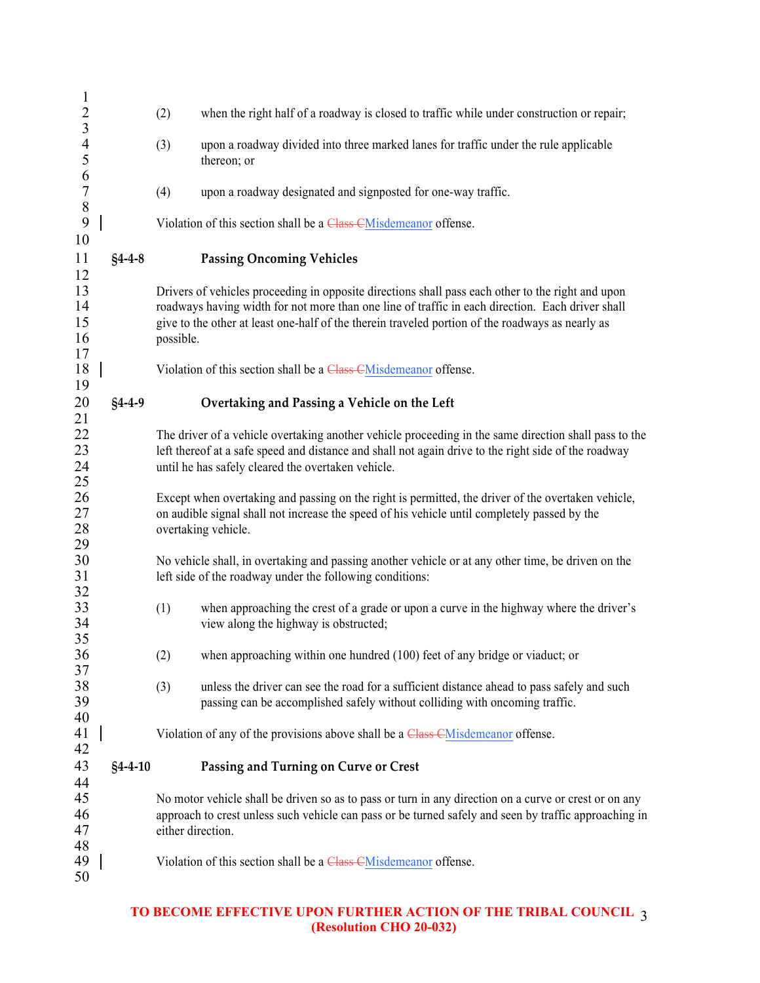| $\mathbf{1}$                     |               |                   |                                                                                                                                                                                                                                                                                                           |
|----------------------------------|---------------|-------------------|-----------------------------------------------------------------------------------------------------------------------------------------------------------------------------------------------------------------------------------------------------------------------------------------------------------|
| $\overline{2}$<br>$\overline{3}$ |               | (2)               | when the right half of a roadway is closed to traffic while under construction or repair;                                                                                                                                                                                                                 |
| $\overline{4}$<br>5              |               | (3)               | upon a roadway divided into three marked lanes for traffic under the rule applicable<br>thereon; or                                                                                                                                                                                                       |
| 6<br>$\sqrt{ }$                  |               | (4)               | upon a roadway designated and signposted for one-way traffic.                                                                                                                                                                                                                                             |
| $\,$ 8 $\,$<br>9                 |               |                   | Violation of this section shall be a Class CMisdemeanor offense.                                                                                                                                                                                                                                          |
| 10<br>11                         | $§4 - 4 - 8$  |                   | <b>Passing Oncoming Vehicles</b>                                                                                                                                                                                                                                                                          |
| 12<br>13<br>14<br>15<br>16       |               | possible.         | Drivers of vehicles proceeding in opposite directions shall pass each other to the right and upon<br>roadways having width for not more than one line of traffic in each direction. Each driver shall<br>give to the other at least one-half of the therein traveled portion of the roadways as nearly as |
| 17<br>18<br>19                   |               |                   | Violation of this section shall be a Class CMisdemeanor offense.                                                                                                                                                                                                                                          |
| 20<br>21                         | $§4 - 4 - 9$  |                   | Overtaking and Passing a Vehicle on the Left                                                                                                                                                                                                                                                              |
| 22<br>23<br>24<br>25             |               |                   | The driver of a vehicle overtaking another vehicle proceeding in the same direction shall pass to the<br>left thereof at a safe speed and distance and shall not again drive to the right side of the roadway<br>until he has safely cleared the overtaken vehicle.                                       |
| 26<br>27<br>28                   |               |                   | Except when overtaking and passing on the right is permitted, the driver of the overtaken vehicle,<br>on audible signal shall not increase the speed of his vehicle until completely passed by the<br>overtaking vehicle.                                                                                 |
| 29<br>30<br>31<br>32             |               |                   | No vehicle shall, in overtaking and passing another vehicle or at any other time, be driven on the<br>left side of the roadway under the following conditions:                                                                                                                                            |
| 33<br>34<br>35                   |               | (1)               | when approaching the crest of a grade or upon a curve in the highway where the driver's<br>view along the highway is obstructed;                                                                                                                                                                          |
| 36<br>37                         |               | (2)               | when approaching within one hundred (100) feet of any bridge or viaduct; or                                                                                                                                                                                                                               |
| 38<br>39                         |               | (3)               | unless the driver can see the road for a sufficient distance ahead to pass safely and such<br>passing can be accomplished safely without colliding with oncoming traffic.                                                                                                                                 |
| 40<br>41<br>42                   |               |                   | Violation of any of the provisions above shall be a Class CMisdemeanor offense.                                                                                                                                                                                                                           |
| 43                               | $§4 - 4 - 10$ |                   | Passing and Turning on Curve or Crest                                                                                                                                                                                                                                                                     |
| 44<br>45<br>46<br>47             |               | either direction. | No motor vehicle shall be driven so as to pass or turn in any direction on a curve or crest or on any<br>approach to crest unless such vehicle can pass or be turned safely and seen by traffic approaching in                                                                                            |
| 48<br>49<br>50                   |               |                   | Violation of this section shall be a Class CMisdemeanor offense.                                                                                                                                                                                                                                          |
|                                  |               |                   |                                                                                                                                                                                                                                                                                                           |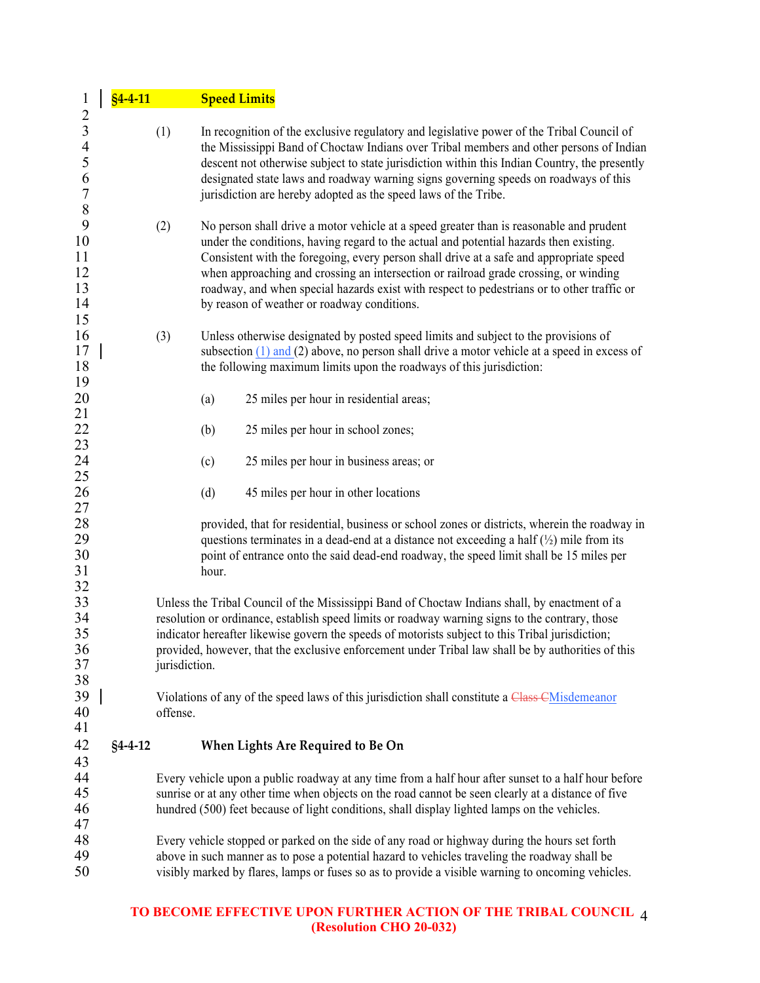| $\mathbf{1}$                                                                                       | $§4 - 4 - 11$ |               | <b>Speed Limits</b> |                                                                                                                                                                                                                                                                                                                                                                                                                                                                                                                   |
|----------------------------------------------------------------------------------------------------|---------------|---------------|---------------------|-------------------------------------------------------------------------------------------------------------------------------------------------------------------------------------------------------------------------------------------------------------------------------------------------------------------------------------------------------------------------------------------------------------------------------------------------------------------------------------------------------------------|
| $\overline{c}$<br>$\mathfrak{Z}$<br>$\overline{4}$<br>$\sqrt{5}$<br>6<br>$\boldsymbol{7}$<br>$8\,$ |               | (1)           |                     | In recognition of the exclusive regulatory and legislative power of the Tribal Council of<br>the Mississippi Band of Choctaw Indians over Tribal members and other persons of Indian<br>descent not otherwise subject to state jurisdiction within this Indian Country, the presently<br>designated state laws and roadway warning signs governing speeds on roadways of this<br>jurisdiction are hereby adopted as the speed laws of the Tribe.                                                                  |
| 9<br>10<br>11<br>12<br>13<br>14<br>15                                                              |               | (2)           |                     | No person shall drive a motor vehicle at a speed greater than is reasonable and prudent<br>under the conditions, having regard to the actual and potential hazards then existing.<br>Consistent with the foregoing, every person shall drive at a safe and appropriate speed<br>when approaching and crossing an intersection or railroad grade crossing, or winding<br>roadway, and when special hazards exist with respect to pedestrians or to other traffic or<br>by reason of weather or roadway conditions. |
| 16<br>17<br>18<br>19                                                                               |               | (3)           |                     | Unless otherwise designated by posted speed limits and subject to the provisions of<br>subsection $(1)$ and $(2)$ above, no person shall drive a motor vehicle at a speed in excess of<br>the following maximum limits upon the roadways of this jurisdiction:                                                                                                                                                                                                                                                    |
| 20                                                                                                 |               |               | (a)                 | 25 miles per hour in residential areas;                                                                                                                                                                                                                                                                                                                                                                                                                                                                           |
| 21<br>22                                                                                           |               |               | (b)                 | 25 miles per hour in school zones;                                                                                                                                                                                                                                                                                                                                                                                                                                                                                |
| $\frac{23}{24}$                                                                                    |               |               | (c)                 | 25 miles per hour in business areas; or                                                                                                                                                                                                                                                                                                                                                                                                                                                                           |
| 25<br>26                                                                                           |               |               | (d)                 | 45 miles per hour in other locations                                                                                                                                                                                                                                                                                                                                                                                                                                                                              |
| 27<br>28<br>29<br>30<br>31                                                                         |               |               | hour.               | provided, that for residential, business or school zones or districts, wherein the roadway in<br>questions terminates in a dead-end at a distance not exceeding a half $(\frac{1}{2})$ mile from its<br>point of entrance onto the said dead-end roadway, the speed limit shall be 15 miles per                                                                                                                                                                                                                   |
| 32<br>33<br>34<br>35<br>36<br>37<br>38                                                             |               | jurisdiction. |                     | Unless the Tribal Council of the Mississippi Band of Choctaw Indians shall, by enactment of a<br>resolution or ordinance, establish speed limits or roadway warning signs to the contrary, those<br>indicator hereafter likewise govern the speeds of motorists subject to this Tribal jurisdiction;<br>provided, however, that the exclusive enforcement under Tribal law shall be by authorities of this                                                                                                        |
| 39<br>40<br>41                                                                                     |               | offense.      |                     | Violations of any of the speed laws of this jurisdiction shall constitute a Class CM is demean or                                                                                                                                                                                                                                                                                                                                                                                                                 |
| 42                                                                                                 | $§4 - 4 - 12$ |               |                     | When Lights Are Required to Be On                                                                                                                                                                                                                                                                                                                                                                                                                                                                                 |
| 43<br>44<br>45<br>46<br>47                                                                         |               |               |                     | Every vehicle upon a public roadway at any time from a half hour after sunset to a half hour before<br>sunrise or at any other time when objects on the road cannot be seen clearly at a distance of five<br>hundred (500) feet because of light conditions, shall display lighted lamps on the vehicles.                                                                                                                                                                                                         |
| 48<br>49<br>50                                                                                     |               |               |                     | Every vehicle stopped or parked on the side of any road or highway during the hours set forth<br>above in such manner as to pose a potential hazard to vehicles traveling the roadway shall be<br>visibly marked by flares, lamps or fuses so as to provide a visible warning to oncoming vehicles.                                                                                                                                                                                                               |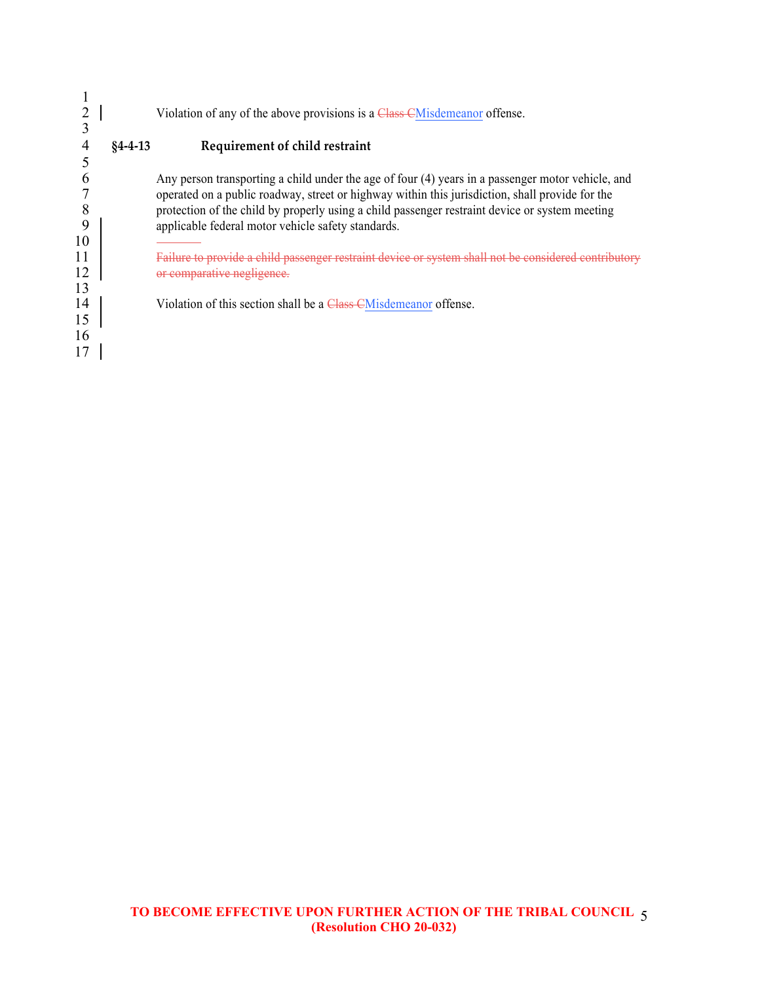|    |               | Violation of any of the above provisions is a Class CM is demean of fense.                        |
|----|---------------|---------------------------------------------------------------------------------------------------|
|    | $84 - 4 - 13$ | Requirement of child restraint                                                                    |
|    |               |                                                                                                   |
|    |               | Any person transporting a child under the age of four (4) years in a passenger motor vehicle, and |
|    |               | operated on a public roadway, street or highway within this jurisdiction, shall provide for the   |
| 8  |               | protection of the child by properly using a child passenger restraint device or system meeting    |
| 9  |               | applicable federal motor vehicle safety standards.                                                |
| 10 |               |                                                                                                   |
| 11 |               | hild passenger restraint device or system shall not be considered con                             |
| 12 |               | or comparative negligence                                                                         |
| 13 |               |                                                                                                   |
| 14 |               | Violation of this section shall be a Class CM is demean of fense.                                 |
| 15 |               |                                                                                                   |
| 16 |               |                                                                                                   |
|    |               |                                                                                                   |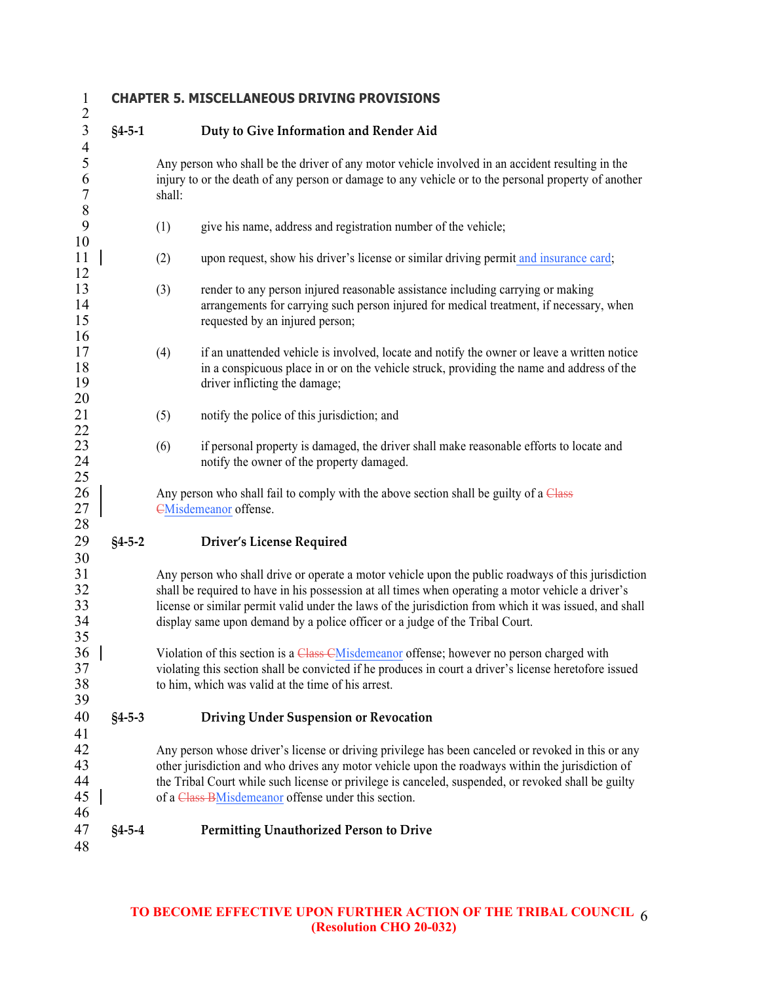# **CHAPTER 5. MISCELLANEOUS DRIVING PROVISIONS**

| 3                                                 | $§4 - 5 - 1$ |        | Duty to Give Information and Render Aid                                                                                                                                                                                                                                                                                                                                                             |
|---------------------------------------------------|--------------|--------|-----------------------------------------------------------------------------------------------------------------------------------------------------------------------------------------------------------------------------------------------------------------------------------------------------------------------------------------------------------------------------------------------------|
| $\frac{4}{5}$<br>6<br>$\boldsymbol{7}$<br>$\,8\,$ |              | shall: | Any person who shall be the driver of any motor vehicle involved in an accident resulting in the<br>injury to or the death of any person or damage to any vehicle or to the personal property of another                                                                                                                                                                                            |
| 9<br>10                                           |              | (1)    | give his name, address and registration number of the vehicle;                                                                                                                                                                                                                                                                                                                                      |
| 11<br>12                                          |              | (2)    | upon request, show his driver's license or similar driving permit and insurance card;                                                                                                                                                                                                                                                                                                               |
| 13<br>14<br>15<br>16                              |              | (3)    | render to any person injured reasonable assistance including carrying or making<br>arrangements for carrying such person injured for medical treatment, if necessary, when<br>requested by an injured person;                                                                                                                                                                                       |
| 17<br>18<br>19<br>20                              |              | (4)    | if an unattended vehicle is involved, locate and notify the owner or leave a written notice<br>in a conspicuous place in or on the vehicle struck, providing the name and address of the<br>driver inflicting the damage;                                                                                                                                                                           |
| 21                                                |              | (5)    | notify the police of this jurisdiction; and                                                                                                                                                                                                                                                                                                                                                         |
| 22<br>23<br>24<br>25                              |              | (6)    | if personal property is damaged, the driver shall make reasonable efforts to locate and<br>notify the owner of the property damaged.                                                                                                                                                                                                                                                                |
| 26<br>27<br>28                                    |              |        | Any person who shall fail to comply with the above section shall be guilty of a Class<br><b>EMisdemeanor</b> offense.                                                                                                                                                                                                                                                                               |
| 29                                                | $§4 - 5 - 2$ |        | <b>Driver's License Required</b>                                                                                                                                                                                                                                                                                                                                                                    |
| 30<br>31<br>32<br>33<br>34<br>35                  |              |        | Any person who shall drive or operate a motor vehicle upon the public roadways of this jurisdiction<br>shall be required to have in his possession at all times when operating a motor vehicle a driver's<br>license or similar permit valid under the laws of the jurisdiction from which it was issued, and shall<br>display same upon demand by a police officer or a judge of the Tribal Court. |
| 36<br>37<br>38<br>39                              |              |        | Violation of this section is a Class CMisdemeanor offense; however no person charged with<br>violating this section shall be convicted if he produces in court a driver's license heretofore issued<br>to him, which was valid at the time of his arrest.                                                                                                                                           |
| 40<br>41                                          | $§4 - 5 - 3$ |        | <b>Driving Under Suspension or Revocation</b>                                                                                                                                                                                                                                                                                                                                                       |
| 42<br>43<br>44<br>45<br>46                        |              |        | Any person whose driver's license or driving privilege has been canceled or revoked in this or any<br>other jurisdiction and who drives any motor vehicle upon the roadways within the jurisdiction of<br>the Tribal Court while such license or privilege is canceled, suspended, or revoked shall be guilty<br>of a Class BMisdemeanor offense under this section.                                |
| 47<br>48                                          | $§4 - 5 - 4$ |        | Permitting Unauthorized Person to Drive                                                                                                                                                                                                                                                                                                                                                             |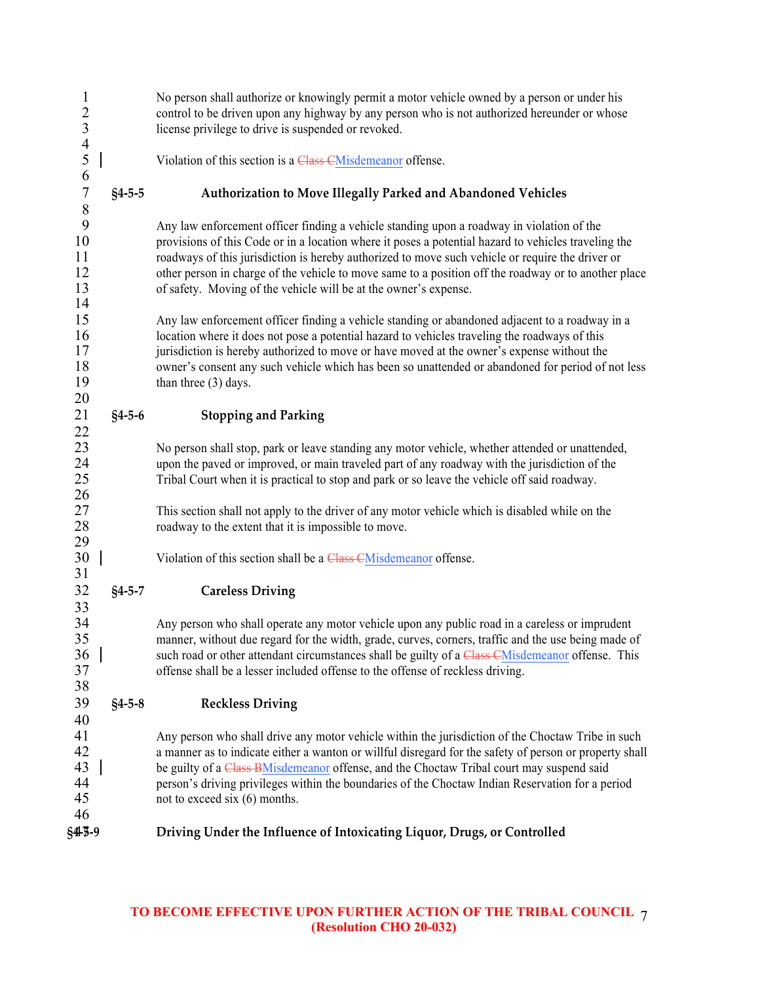| $\mathbf{1}$<br>$\begin{array}{c}\n2 \\ 3 \\ 4 \\ 5\n\end{array}$ |              | No person shall authorize or knowingly permit a motor vehicle owned by a person or under his<br>control to be driven upon any highway by any person who is not authorized hereunder or whose<br>license privilege to drive is suspended or revoked.                                                                                                                                                                                                                               |
|-------------------------------------------------------------------|--------------|-----------------------------------------------------------------------------------------------------------------------------------------------------------------------------------------------------------------------------------------------------------------------------------------------------------------------------------------------------------------------------------------------------------------------------------------------------------------------------------|
|                                                                   |              | Violation of this section is a Class CMisdemeanor offense.                                                                                                                                                                                                                                                                                                                                                                                                                        |
| 6<br>$\overline{7}$                                               | $§4 - 5 - 5$ | Authorization to Move Illegally Parked and Abandoned Vehicles                                                                                                                                                                                                                                                                                                                                                                                                                     |
| 8<br>9<br>10<br>11<br>12<br>13<br>14                              |              | Any law enforcement officer finding a vehicle standing upon a roadway in violation of the<br>provisions of this Code or in a location where it poses a potential hazard to vehicles traveling the<br>roadways of this jurisdiction is hereby authorized to move such vehicle or require the driver or<br>other person in charge of the vehicle to move same to a position off the roadway or to another place<br>of safety. Moving of the vehicle will be at the owner's expense. |
| 15<br>16<br>17<br>18<br>19<br>20                                  |              | Any law enforcement officer finding a vehicle standing or abandoned adjacent to a roadway in a<br>location where it does not pose a potential hazard to vehicles traveling the roadways of this<br>jurisdiction is hereby authorized to move or have moved at the owner's expense without the<br>owner's consent any such vehicle which has been so unattended or abandoned for period of not less<br>than three $(3)$ days.                                                      |
| 21<br>22                                                          | $§4 - 5 - 6$ | <b>Stopping and Parking</b>                                                                                                                                                                                                                                                                                                                                                                                                                                                       |
| 23<br>24<br>$25\,$<br>26                                          |              | No person shall stop, park or leave standing any motor vehicle, whether attended or unattended,<br>upon the paved or improved, or main traveled part of any roadway with the jurisdiction of the<br>Tribal Court when it is practical to stop and park or so leave the vehicle off said roadway.                                                                                                                                                                                  |
| $27\,$<br>28<br>29                                                |              | This section shall not apply to the driver of any motor vehicle which is disabled while on the<br>roadway to the extent that it is impossible to move.                                                                                                                                                                                                                                                                                                                            |
| 30<br>31                                                          |              | Violation of this section shall be a Class CMisdemeanor offense.                                                                                                                                                                                                                                                                                                                                                                                                                  |
| 32                                                                | $§4 - 5 - 7$ | <b>Careless Driving</b>                                                                                                                                                                                                                                                                                                                                                                                                                                                           |
| 33<br>34<br>35<br>36<br>37<br>38                                  |              | Any person who shall operate any motor vehicle upon any public road in a careless or imprudent<br>manner, without due regard for the width, grade, curves, corners, traffic and the use being made of<br>such road or other attendant circumstances shall be guilty of a Class CMisdemeanor offense. This<br>offense shall be a lesser included offense to the offense of reckless driving.                                                                                       |
| 39                                                                | $§4 - 5 - 8$ | <b>Reckless Driving</b>                                                                                                                                                                                                                                                                                                                                                                                                                                                           |
| 40<br>41<br>42<br>43<br>44<br>45<br>46                            |              | Any person who shall drive any motor vehicle within the jurisdiction of the Choctaw Tribe in such<br>a manner as to indicate either a wanton or willful disregard for the safety of person or property shall<br>be guilty of a Class BMisdemeanor offense, and the Choctaw Tribal court may suspend said<br>person's driving privileges within the boundaries of the Choctaw Indian Reservation for a period<br>not to exceed six $(6)$ months.                                   |
| §415-9                                                            |              | Driving Under the Influence of Intoxicating Liquor, Drugs, or Controlled                                                                                                                                                                                                                                                                                                                                                                                                          |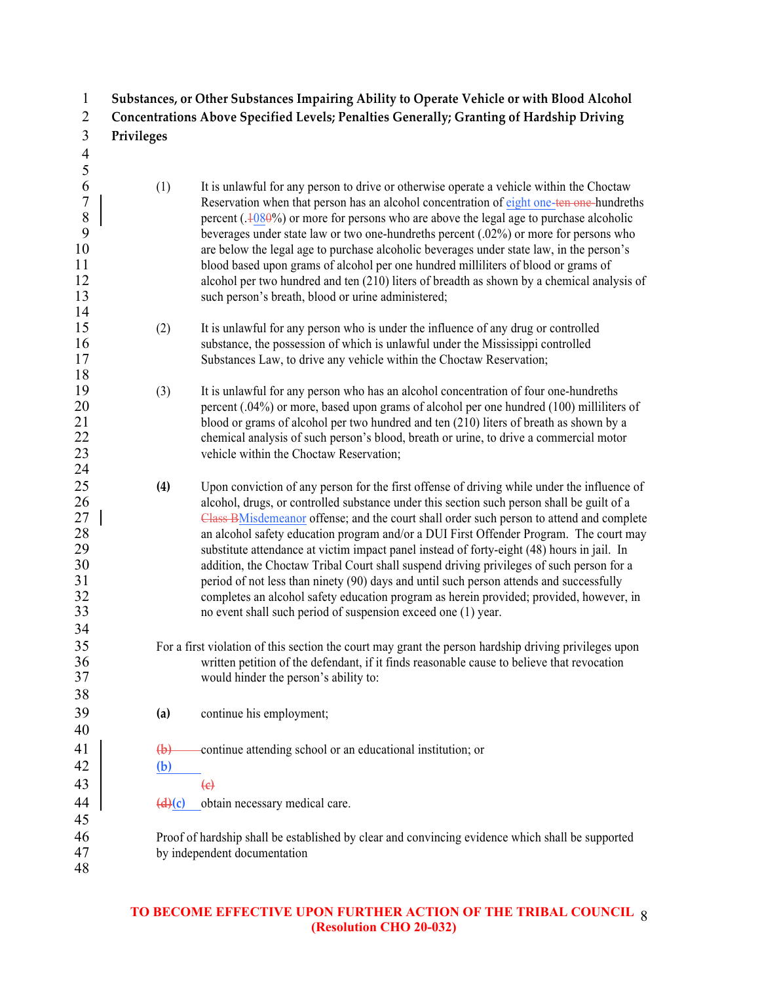|               |                   | Substances, or Other Substances Impairing Ability to Operate Vehicle or with Blood Alcohol |
|---------------|-------------------|--------------------------------------------------------------------------------------------|
|               |                   | Concentrations Above Specified Levels; Penalties Generally; Granting of Hardship Driving   |
|               | <b>Privileges</b> |                                                                                            |
|               |                   |                                                                                            |
|               |                   |                                                                                            |
| $\mathfrak b$ | (1)               | It is unlawful for any person to drive or otherwise operate a vehicle within the Choctaw   |
|               |                   | Reservation when that person has an alcohol concentration of eight one-ten-one-hundreths   |
| 8             |                   | percent $(.4080%)$ or more for persons who are above the legal age to purchase alcoholic   |
|               |                   | beverages under state law or two one-hundreths percent $(.02%)$ or more for persons who    |
| 10            |                   | are below the legal age to purchase alcoholic beverages under state law, in the person's   |
| 11            |                   | blood based upon grams of alcohol per one hundred milliliters of blood or grams of         |

- alcohol per two hundred and ten (210) liters of breadth as shown by a chemical analysis of 13 such person's breath, blood or urine administered; (2) It is unlawful for any person who is under the influence of any drug or controlled
- substance, the possession of which is unlawful under the Mississippi controlled Substances Law, to drive any vehicle within the Choctaw Reservation;
- (3) It is unlawful for any person who has an alcohol concentration of four one-hundreths 20 percent (.04%) or more, based upon grams of alcohol per one hundred (100) milliliters of 21 blood or grams of alcohol per two hundred and ten (210) liters of breath as shown by a<br>22 chemical analysis of such person's blood breath or urine to drive a commercial motor 22 chemical analysis of such person's blood, breath or urine, to drive a commercial motor<br>23 vehicle within the Choctaw Reservation. vehicle within the Choctaw Reservation:
- **(4)** Upon conviction of any person for the first offense of driving while under the influence of 26 alcohol, drugs, or controlled substance under this section such person shall be guilt of a 27 Class BMisdemeanor offense; and the court shall order such person to attend and complete<br>28 an alcohol safety education program and/or a DUI First Offender Program. The court may 28 an alcohol safety education program and/or a DUI First Offender Program. The court may<br>29 substitute attendance at victim impact panel instead of fortv-eight (48) hours in iail. In substitute attendance at victim impact panel instead of forty-eight (48) hours in jail. In addition, the Choctaw Tribal Court shall suspend driving privileges of such person for a period of not less than ninety (90) days and until such person attends and successfully completes an alcohol safety education program as herein provided; provided, however, in no event shall such period of suspension exceed one (1) year.
- For a first violation of this section the court may grant the person hardship driving privileges upon 36 written petition of the defendant, if it finds reasonable cause to believe that revocation<br>37 would hinder the person's ability to: would hinder the person's ability to:
- **(a)** continue his employment;
- **(b)** continue attending school or an educational institution; or

 **(b) (c)**

**(d)(c)** obtain necessary medical care.

- Proof of hardship shall be established by clear and convincing evidence which shall be supported by independent documentation
- 

 $\frac{14}{15}$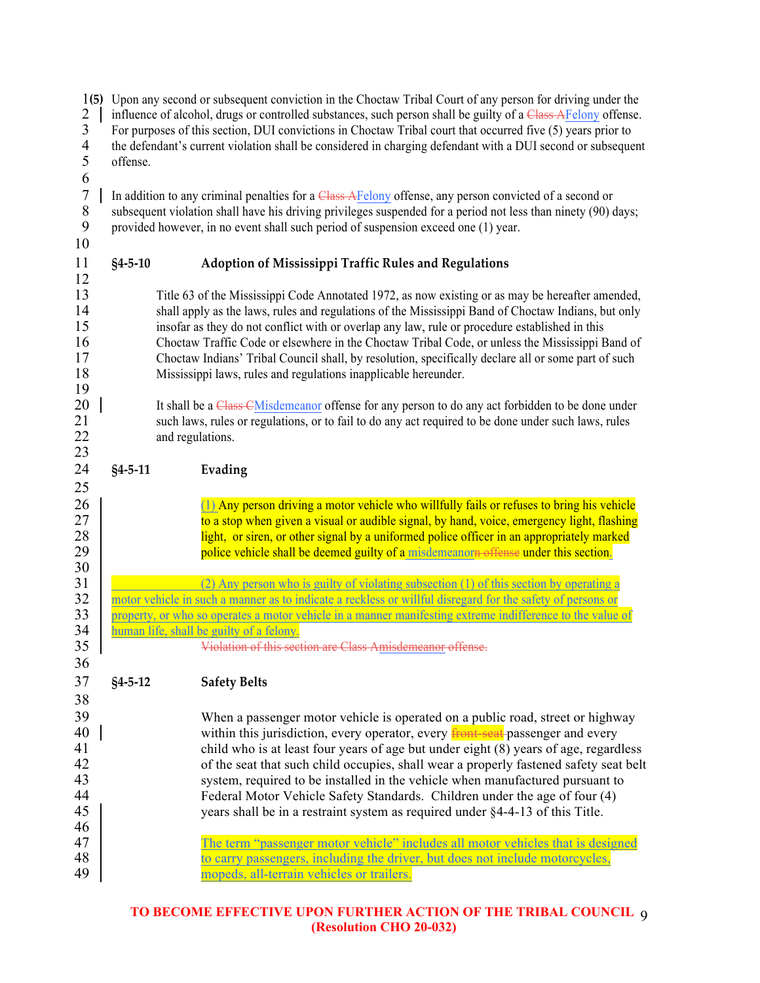| 1(5)<br>$\overline{2}$<br>$\mathfrak{Z}$<br>$\overline{4}$<br>5<br>6 | Upon any second or subsequent conviction in the Choctaw Tribal Court of any person for driving under the<br>influence of alcohol, drugs or controlled substances, such person shall be guilty of a Class AFelony offense.<br>For purposes of this section, DUI convictions in Choctaw Tribal court that occurred five (5) years prior to<br>the defendant's current violation shall be considered in charging defendant with a DUI second or subsequent<br>offense. |                                                                                                                                                                                                                                                                                                                                                                                                                                                                                                                                                                                                                                                                                                                                                                             |  |  |
|----------------------------------------------------------------------|---------------------------------------------------------------------------------------------------------------------------------------------------------------------------------------------------------------------------------------------------------------------------------------------------------------------------------------------------------------------------------------------------------------------------------------------------------------------|-----------------------------------------------------------------------------------------------------------------------------------------------------------------------------------------------------------------------------------------------------------------------------------------------------------------------------------------------------------------------------------------------------------------------------------------------------------------------------------------------------------------------------------------------------------------------------------------------------------------------------------------------------------------------------------------------------------------------------------------------------------------------------|--|--|
| $\overline{7}$<br>$\,8\,$<br>9<br>10                                 |                                                                                                                                                                                                                                                                                                                                                                                                                                                                     | In addition to any criminal penalties for a Class AFelony offense, any person convicted of a second or<br>subsequent violation shall have his driving privileges suspended for a period not less than ninety (90) days;<br>provided however, in no event shall such period of suspension exceed one (1) year.                                                                                                                                                                                                                                                                                                                                                                                                                                                               |  |  |
| 11                                                                   | $§4 - 5 - 10$                                                                                                                                                                                                                                                                                                                                                                                                                                                       | Adoption of Mississippi Traffic Rules and Regulations                                                                                                                                                                                                                                                                                                                                                                                                                                                                                                                                                                                                                                                                                                                       |  |  |
| 12<br>13<br>14<br>15<br>16<br>17<br>18<br>19                         |                                                                                                                                                                                                                                                                                                                                                                                                                                                                     | Title 63 of the Mississippi Code Annotated 1972, as now existing or as may be hereafter amended,<br>shall apply as the laws, rules and regulations of the Mississippi Band of Choctaw Indians, but only<br>insofar as they do not conflict with or overlap any law, rule or procedure established in this<br>Choctaw Traffic Code or elsewhere in the Choctaw Tribal Code, or unless the Mississippi Band of<br>Choctaw Indians' Tribal Council shall, by resolution, specifically declare all or some part of such<br>Mississippi laws, rules and regulations inapplicable hereunder.                                                                                                                                                                                      |  |  |
| 20<br>21<br>22<br>23                                                 |                                                                                                                                                                                                                                                                                                                                                                                                                                                                     | It shall be a Class-CMisdemeanor offense for any person to do any act forbidden to be done under<br>such laws, rules or regulations, or to fail to do any act required to be done under such laws, rules<br>and regulations.                                                                                                                                                                                                                                                                                                                                                                                                                                                                                                                                                |  |  |
| 24                                                                   | $§4 - 5 - 11$                                                                                                                                                                                                                                                                                                                                                                                                                                                       | Evading                                                                                                                                                                                                                                                                                                                                                                                                                                                                                                                                                                                                                                                                                                                                                                     |  |  |
| 25<br>26<br>27<br>28<br>29<br>30                                     |                                                                                                                                                                                                                                                                                                                                                                                                                                                                     | (1) Any person driving a motor vehicle who willfully fails or refuses to bring his vehicle<br>to a stop when given a visual or audible signal, by hand, voice, emergency light, flashing<br>light, or siren, or other signal by a uniformed police officer in an appropriately marked<br>police vehicle shall be deemed guilty of a misdemeanorn offense under this section.                                                                                                                                                                                                                                                                                                                                                                                                |  |  |
| 31<br>32<br>33<br>34                                                 |                                                                                                                                                                                                                                                                                                                                                                                                                                                                     | (2) Any person who is guilty of violating subsection (1) of this section by operating a<br>motor vehicle in such a manner as to indicate a reckless or willful disregard for the safety of persons or<br>property, or who so operates a motor vehicle in a manner manifesting extreme indifference to the value of<br>human life, shall be guilty of a felony.                                                                                                                                                                                                                                                                                                                                                                                                              |  |  |
| 35                                                                   |                                                                                                                                                                                                                                                                                                                                                                                                                                                                     | Violation of this section are Class Amisdemeanor offense.                                                                                                                                                                                                                                                                                                                                                                                                                                                                                                                                                                                                                                                                                                                   |  |  |
| 36<br>37<br>38                                                       | $§4 - 5 - 12$                                                                                                                                                                                                                                                                                                                                                                                                                                                       | <b>Safety Belts</b>                                                                                                                                                                                                                                                                                                                                                                                                                                                                                                                                                                                                                                                                                                                                                         |  |  |
| 39<br>40<br>41<br>42<br>43<br>44<br>45<br>46<br>47<br>48             |                                                                                                                                                                                                                                                                                                                                                                                                                                                                     | When a passenger motor vehicle is operated on a public road, street or highway<br>within this jurisdiction, every operator, every <b>front-seat</b> passenger and every<br>child who is at least four years of age but under eight (8) years of age, regardless<br>of the seat that such child occupies, shall wear a properly fastened safety seat belt<br>system, required to be installed in the vehicle when manufactured pursuant to<br>Federal Motor Vehicle Safety Standards. Children under the age of four (4)<br>years shall be in a restraint system as required under §4-4-13 of this Title.<br>The term "passenger motor vehicle" includes all motor vehicles that is designed<br>to carry passengers, including the driver, but does not include motorcycles, |  |  |
| 49                                                                   |                                                                                                                                                                                                                                                                                                                                                                                                                                                                     | mopeds, all-terrain vehicles or trailers.                                                                                                                                                                                                                                                                                                                                                                                                                                                                                                                                                                                                                                                                                                                                   |  |  |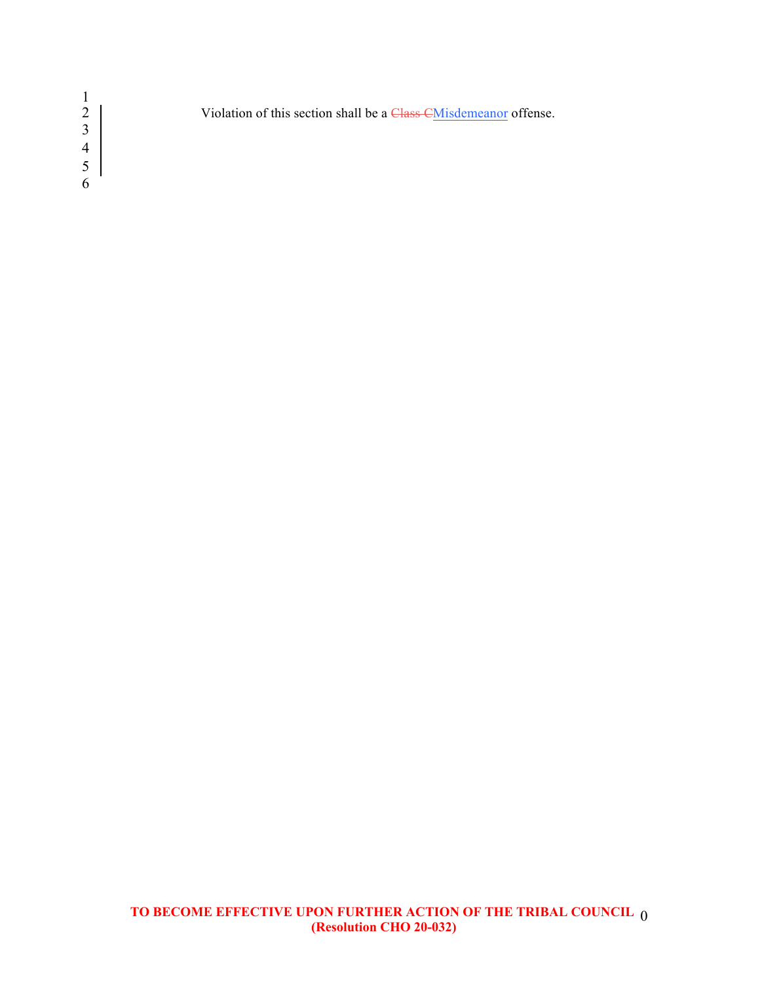Violation of this section shall be a Class CMisdemeanor offense.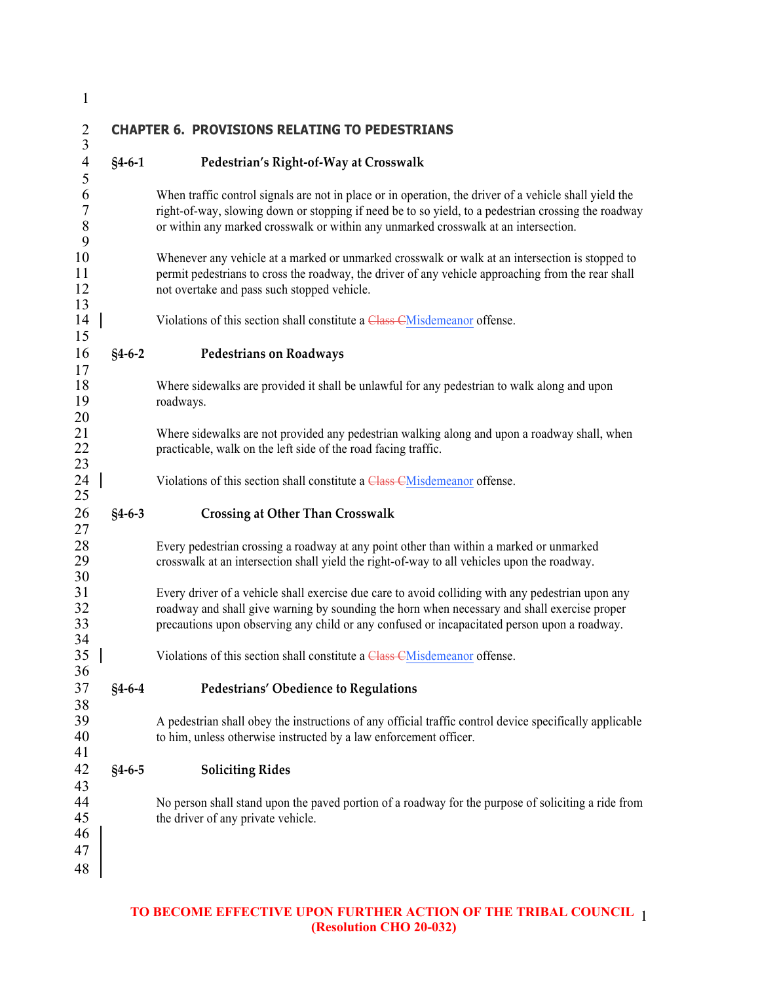| $\mathbf{1}$                     |              |                                                                                                                                                                                                                                                                                                      |
|----------------------------------|--------------|------------------------------------------------------------------------------------------------------------------------------------------------------------------------------------------------------------------------------------------------------------------------------------------------------|
| $\overline{c}$<br>$\mathfrak{Z}$ |              | <b>CHAPTER 6. PROVISIONS RELATING TO PEDESTRIANS</b>                                                                                                                                                                                                                                                 |
| $\overline{4}$<br>5              | $§4 - 6 - 1$ | Pedestrian's Right-of-Way at Crosswalk                                                                                                                                                                                                                                                               |
| 6<br>$\sqrt{ }$<br>$\,8$<br>9    |              | When traffic control signals are not in place or in operation, the driver of a vehicle shall yield the<br>right-of-way, slowing down or stopping if need be to so yield, to a pedestrian crossing the roadway<br>or within any marked crosswalk or within any unmarked crosswalk at an intersection. |
| 10<br>11<br>12<br>13             |              | Whenever any vehicle at a marked or unmarked crosswalk or walk at an intersection is stopped to<br>permit pedestrians to cross the roadway, the driver of any vehicle approaching from the rear shall<br>not overtake and pass such stopped vehicle.                                                 |
| 14<br>15                         |              | Violations of this section shall constitute a Class CMisdemeanor offense.                                                                                                                                                                                                                            |
| 16<br>17                         | $§4 - 6 - 2$ | <b>Pedestrians on Roadways</b>                                                                                                                                                                                                                                                                       |
| 18<br>19<br>20                   |              | Where sidewalks are provided it shall be unlawful for any pedestrian to walk along and upon<br>roadways.                                                                                                                                                                                             |
| 21<br>22<br>23                   |              | Where sidewalks are not provided any pedestrian walking along and upon a roadway shall, when<br>practicable, walk on the left side of the road facing traffic.                                                                                                                                       |
| 24<br>25                         |              | Violations of this section shall constitute a Class CMisdemeanor offense.                                                                                                                                                                                                                            |
| 26<br>27                         | $§4 - 6 - 3$ | <b>Crossing at Other Than Crosswalk</b>                                                                                                                                                                                                                                                              |
| 28<br>29<br>30                   |              | Every pedestrian crossing a roadway at any point other than within a marked or unmarked<br>crosswalk at an intersection shall yield the right-of-way to all vehicles upon the roadway.                                                                                                               |
| 31<br>32<br>33<br>34             |              | Every driver of a vehicle shall exercise due care to avoid colliding with any pedestrian upon any<br>roadway and shall give warning by sounding the horn when necessary and shall exercise proper<br>precautions upon observing any child or any confused or incapacitated person upon a roadway.    |
| 35<br>36                         |              | Violations of this section shall constitute a Class CMisdemeanor offense.                                                                                                                                                                                                                            |
| 37<br>38                         | $§4 - 6 - 4$ | Pedestrians' Obedience to Regulations                                                                                                                                                                                                                                                                |
| 39<br>40<br>41                   |              | A pedestrian shall obey the instructions of any official traffic control device specifically applicable<br>to him, unless otherwise instructed by a law enforcement officer.                                                                                                                         |
| 42<br>43                         | $§4 - 6 - 5$ | <b>Soliciting Rides</b>                                                                                                                                                                                                                                                                              |
| 44<br>45<br>46                   |              | No person shall stand upon the paved portion of a roadway for the purpose of soliciting a ride from<br>the driver of any private vehicle.                                                                                                                                                            |
| 47<br>48                         |              |                                                                                                                                                                                                                                                                                                      |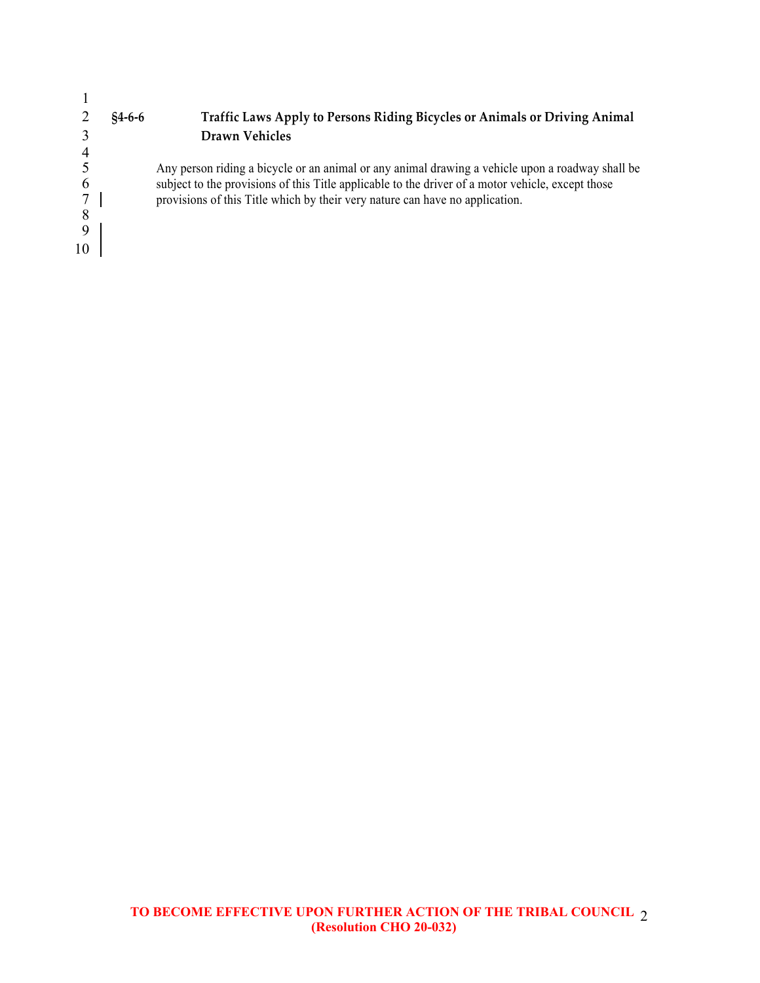|    | $$4-6-6$ | Traffic Laws Apply to Persons Riding Bicycles or Animals or Driving Animal                        |
|----|----------|---------------------------------------------------------------------------------------------------|
|    |          | <b>Drawn Vehicles</b>                                                                             |
|    |          |                                                                                                   |
|    |          | Any person riding a bicycle or an animal or any animal drawing a vehicle upon a roadway shall be  |
|    |          | subject to the provisions of this Title applicable to the driver of a motor vehicle, except those |
|    |          | provisions of this Title which by their very nature can have no application.                      |
|    |          |                                                                                                   |
| 10 |          |                                                                                                   |
|    |          |                                                                                                   |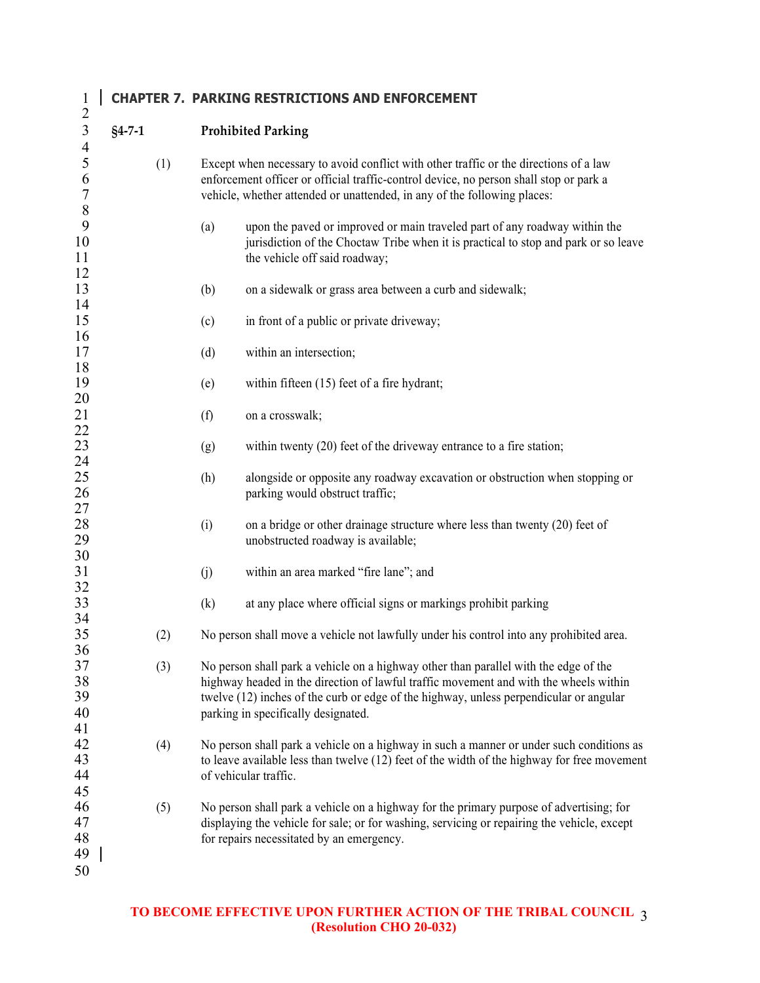### **CHAPTER 7. PARKING RESTRICTIONS AND ENFORCEMENT**

| $\mathfrak{Z}$ | $§4 - 7 - 1$ |     |                                                                                       | <b>Prohibited Parking</b>                                                                                                                                                               |  |  |
|----------------|--------------|-----|---------------------------------------------------------------------------------------|-----------------------------------------------------------------------------------------------------------------------------------------------------------------------------------------|--|--|
| $\frac{4}{5}$  |              |     |                                                                                       |                                                                                                                                                                                         |  |  |
|                |              | (1) | Except when necessary to avoid conflict with other traffic or the directions of a law |                                                                                                                                                                                         |  |  |
| 6              |              |     |                                                                                       | enforcement officer or official traffic-control device, no person shall stop or park a                                                                                                  |  |  |
| $\overline{7}$ |              |     |                                                                                       | vehicle, whether attended or unattended, in any of the following places:                                                                                                                |  |  |
| 8<br>9         |              |     |                                                                                       |                                                                                                                                                                                         |  |  |
| 10             |              |     | (a)                                                                                   | upon the paved or improved or main traveled part of any roadway within the                                                                                                              |  |  |
| 11             |              |     |                                                                                       | jurisdiction of the Choctaw Tribe when it is practical to stop and park or so leave                                                                                                     |  |  |
| 12             |              |     |                                                                                       | the vehicle off said roadway;                                                                                                                                                           |  |  |
| 13             |              |     | (b)                                                                                   | on a sidewalk or grass area between a curb and sidewalk;                                                                                                                                |  |  |
| 14             |              |     |                                                                                       |                                                                                                                                                                                         |  |  |
| 15             |              |     | (c)                                                                                   | in front of a public or private driveway;                                                                                                                                               |  |  |
| 16             |              |     |                                                                                       |                                                                                                                                                                                         |  |  |
| 17             |              |     | (d)                                                                                   | within an intersection;                                                                                                                                                                 |  |  |
| 18             |              |     |                                                                                       |                                                                                                                                                                                         |  |  |
| 19             |              |     | (e)                                                                                   | within fifteen (15) feet of a fire hydrant;                                                                                                                                             |  |  |
| 20             |              |     |                                                                                       |                                                                                                                                                                                         |  |  |
| 21             |              |     | (f)                                                                                   | on a crosswalk;                                                                                                                                                                         |  |  |
| 22             |              |     |                                                                                       |                                                                                                                                                                                         |  |  |
| 23             |              |     | (g)                                                                                   | within twenty (20) feet of the driveway entrance to a fire station;                                                                                                                     |  |  |
| 24             |              |     |                                                                                       |                                                                                                                                                                                         |  |  |
| 25             |              |     | (h)                                                                                   | alongside or opposite any roadway excavation or obstruction when stopping or                                                                                                            |  |  |
| 26<br>27       |              |     |                                                                                       | parking would obstruct traffic;                                                                                                                                                         |  |  |
| 28             |              |     | (i)                                                                                   | on a bridge or other drainage structure where less than twenty (20) feet of                                                                                                             |  |  |
| 29             |              |     |                                                                                       | unobstructed roadway is available;                                                                                                                                                      |  |  |
| 30             |              |     |                                                                                       |                                                                                                                                                                                         |  |  |
| 31             |              |     | (j)                                                                                   | within an area marked "fire lane"; and                                                                                                                                                  |  |  |
| 32             |              |     |                                                                                       |                                                                                                                                                                                         |  |  |
| 33             |              |     | (k)                                                                                   | at any place where official signs or markings prohibit parking                                                                                                                          |  |  |
| 34             |              |     |                                                                                       |                                                                                                                                                                                         |  |  |
| 35             |              | (2) |                                                                                       | No person shall move a vehicle not lawfully under his control into any prohibited area.                                                                                                 |  |  |
| 36             |              |     |                                                                                       |                                                                                                                                                                                         |  |  |
| 37             |              | (3) |                                                                                       | No person shall park a vehicle on a highway other than parallel with the edge of the                                                                                                    |  |  |
| 38             |              |     |                                                                                       | highway headed in the direction of lawful traffic movement and with the wheels within                                                                                                   |  |  |
| 39             |              |     |                                                                                       | twelve (12) inches of the curb or edge of the highway, unless perpendicular or angular                                                                                                  |  |  |
| 40             |              |     |                                                                                       | parking in specifically designated.                                                                                                                                                     |  |  |
| 41<br>42       |              |     |                                                                                       |                                                                                                                                                                                         |  |  |
| 43             |              | (4) |                                                                                       | No person shall park a vehicle on a highway in such a manner or under such conditions as<br>to leave available less than twelve (12) feet of the width of the highway for free movement |  |  |
| 44             |              |     |                                                                                       | of vehicular traffic.                                                                                                                                                                   |  |  |
| 45             |              |     |                                                                                       |                                                                                                                                                                                         |  |  |
| 46             |              | (5) |                                                                                       | No person shall park a vehicle on a highway for the primary purpose of advertising; for                                                                                                 |  |  |
| 47             |              |     |                                                                                       | displaying the vehicle for sale; or for washing, servicing or repairing the vehicle, except                                                                                             |  |  |
| 48             |              |     |                                                                                       | for repairs necessitated by an emergency.                                                                                                                                               |  |  |
| 49             |              |     |                                                                                       |                                                                                                                                                                                         |  |  |
| 50             |              |     |                                                                                       |                                                                                                                                                                                         |  |  |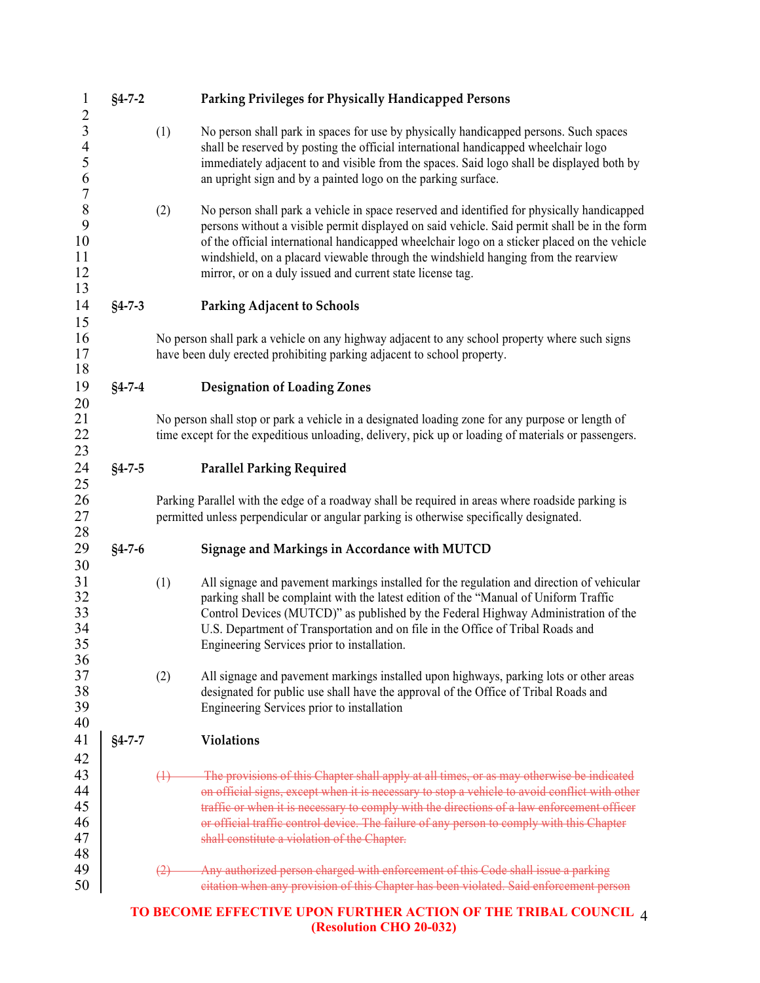| $\mathbf{1}$                                                | $§4 - 7 - 2$ |                                                                                                                                                                           | Parking Privileges for Physically Handicapped Persons                                                                                                                                                                                                                                                                                                                                                                                          |  |  |  |  |
|-------------------------------------------------------------|--------------|---------------------------------------------------------------------------------------------------------------------------------------------------------------------------|------------------------------------------------------------------------------------------------------------------------------------------------------------------------------------------------------------------------------------------------------------------------------------------------------------------------------------------------------------------------------------------------------------------------------------------------|--|--|--|--|
| $\frac{2}{3}$<br>$\overline{4}$<br>5<br>6<br>$\overline{7}$ |              | (1)                                                                                                                                                                       | No person shall park in spaces for use by physically handicapped persons. Such spaces<br>shall be reserved by posting the official international handicapped wheelchair logo<br>immediately adjacent to and visible from the spaces. Said logo shall be displayed both by<br>an upright sign and by a painted logo on the parking surface.                                                                                                     |  |  |  |  |
| 8<br>9<br>10<br>11<br>12<br>13                              |              | (2)                                                                                                                                                                       | No person shall park a vehicle in space reserved and identified for physically handicapped<br>persons without a visible permit displayed on said vehicle. Said permit shall be in the form<br>of the official international handicapped wheelchair logo on a sticker placed on the vehicle<br>windshield, on a placard viewable through the windshield hanging from the rearview<br>mirror, or on a duly issued and current state license tag. |  |  |  |  |
| 14<br>15                                                    | $§4 - 7 - 3$ |                                                                                                                                                                           | <b>Parking Adjacent to Schools</b>                                                                                                                                                                                                                                                                                                                                                                                                             |  |  |  |  |
| 16<br>17<br>18                                              |              | No person shall park a vehicle on any highway adjacent to any school property where such signs<br>have been duly erected prohibiting parking adjacent to school property. |                                                                                                                                                                                                                                                                                                                                                                                                                                                |  |  |  |  |
| 19                                                          | $§4 - 7 - 4$ |                                                                                                                                                                           | <b>Designation of Loading Zones</b>                                                                                                                                                                                                                                                                                                                                                                                                            |  |  |  |  |
| 20<br>21<br>22<br>23                                        |              |                                                                                                                                                                           | No person shall stop or park a vehicle in a designated loading zone for any purpose or length of<br>time except for the expeditious unloading, delivery, pick up or loading of materials or passengers.                                                                                                                                                                                                                                        |  |  |  |  |
| 24                                                          | $§4 - 7 - 5$ |                                                                                                                                                                           | <b>Parallel Parking Required</b>                                                                                                                                                                                                                                                                                                                                                                                                               |  |  |  |  |
| 25<br>26<br>27<br>28                                        |              |                                                                                                                                                                           | Parking Parallel with the edge of a roadway shall be required in areas where roadside parking is<br>permitted unless perpendicular or angular parking is otherwise specifically designated.                                                                                                                                                                                                                                                    |  |  |  |  |
| 29                                                          | $§4 - 7 - 6$ |                                                                                                                                                                           | Signage and Markings in Accordance with MUTCD                                                                                                                                                                                                                                                                                                                                                                                                  |  |  |  |  |
| 30<br>31<br>32<br>33<br>34<br>35                            |              | (1)                                                                                                                                                                       | All signage and pavement markings installed for the regulation and direction of vehicular<br>parking shall be complaint with the latest edition of the "Manual of Uniform Traffic<br>Control Devices (MUTCD)" as published by the Federal Highway Administration of the<br>U.S. Department of Transportation and on file in the Office of Tribal Roads and<br>Engineering Services prior to installation.                                      |  |  |  |  |
| 36<br>37<br>38<br>39<br>40                                  |              | (2)                                                                                                                                                                       | All signage and pavement markings installed upon highways, parking lots or other areas<br>designated for public use shall have the approval of the Office of Tribal Roads and<br>Engineering Services prior to installation                                                                                                                                                                                                                    |  |  |  |  |
| 41                                                          | $§4 - 7 - 7$ |                                                                                                                                                                           | <b>Violations</b>                                                                                                                                                                                                                                                                                                                                                                                                                              |  |  |  |  |
| 42<br>43<br>44<br>45<br>46<br>47                            |              | $\leftrightarrow$                                                                                                                                                         | The provisions of this Chapter shall apply at all times, or as may otherwise be indicated<br>on official signs, except when it is necessary to stop a vehicle to avoid conflict with other<br>traffic or when it is necessary to comply with the directions of a law enforcement officer<br>or official traffic control device. The failure of any person to comply with this Chapter<br>shall constitute a violation of the Chapter.          |  |  |  |  |
| 48<br>49<br>50                                              |              | <del>(2)</del>                                                                                                                                                            | Any authorized person charged with enforcement of this Code shall issue a parking<br>eitation when any provision of this Chapter has been violated. Said enforcement person                                                                                                                                                                                                                                                                    |  |  |  |  |